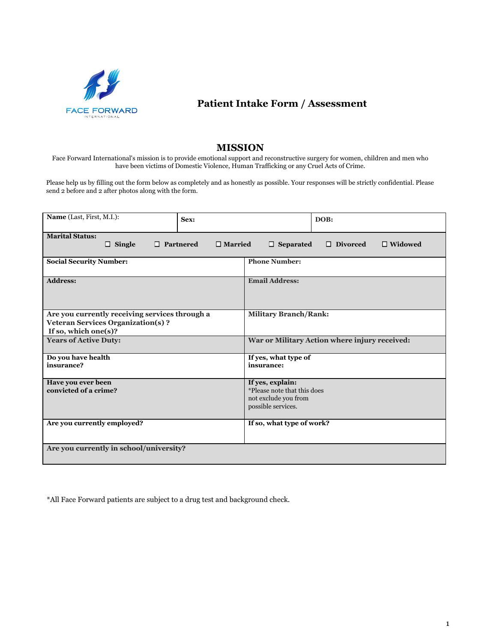

## **Patient Intake Form / Assessment**

## **MISSION**

Face Forward International's mission is to provide emotional support and reconstructive surgery for women, children and men who have been victims of Domestic Violence, Human Trafficking or any Cruel Acts of Crime.

Please help us by filling out the form below as completely and as honestly as possible. Your responses will be strictly confidential. Please send 2 before and 2 after photos along with the form.

| Name (Last, First, M.I.):                                                                                                              | Sex:                 |                                               | DOB: |  |  |  |  |
|----------------------------------------------------------------------------------------------------------------------------------------|----------------------|-----------------------------------------------|------|--|--|--|--|
| <b>Marital Status:</b><br>$\Box$ Single<br>$\Box$ Divorced<br>$\Box$ Partnered<br>$\Box$ Married<br>$\Box$ Separated<br>$\Box$ Widowed |                      |                                               |      |  |  |  |  |
| <b>Social Security Number:</b>                                                                                                         | <b>Phone Number:</b> |                                               |      |  |  |  |  |
| <b>Address:</b>                                                                                                                        |                      | <b>Email Address:</b>                         |      |  |  |  |  |
| Are you currently receiving services through a                                                                                         |                      | <b>Military Branch/Rank:</b>                  |      |  |  |  |  |
| <b>Veteran Services Organization(s)?</b>                                                                                               |                      |                                               |      |  |  |  |  |
| If so, which one(s)?                                                                                                                   |                      |                                               |      |  |  |  |  |
| <b>Years of Active Duty:</b>                                                                                                           |                      | War or Military Action where injury received: |      |  |  |  |  |
| Do you have health                                                                                                                     | If yes, what type of |                                               |      |  |  |  |  |
| insurance?                                                                                                                             |                      | insurance:                                    |      |  |  |  |  |
| Have you ever been                                                                                                                     |                      | If yes, explain:                              |      |  |  |  |  |
| convicted of a crime?                                                                                                                  |                      | *Please note that this does                   |      |  |  |  |  |
|                                                                                                                                        |                      | not exclude you from                          |      |  |  |  |  |
|                                                                                                                                        |                      | possible services.                            |      |  |  |  |  |
| Are you currently employed?                                                                                                            |                      | If so, what type of work?                     |      |  |  |  |  |
| Are you currently in school/university?                                                                                                |                      |                                               |      |  |  |  |  |

\*All Face Forward patients are subject to a drug test and background check.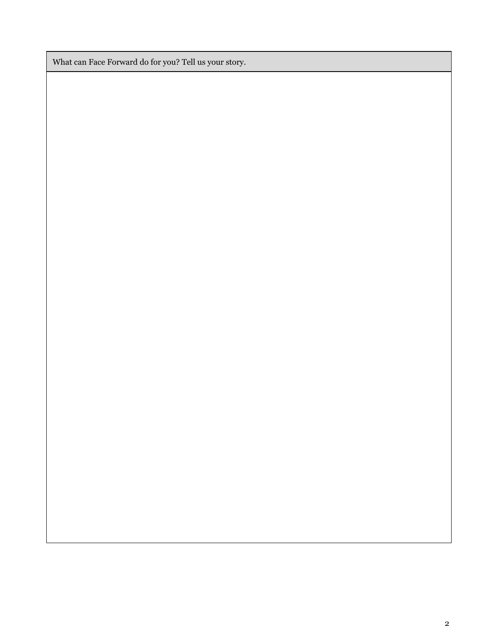What can Face Forward do for you? Tell us your story.